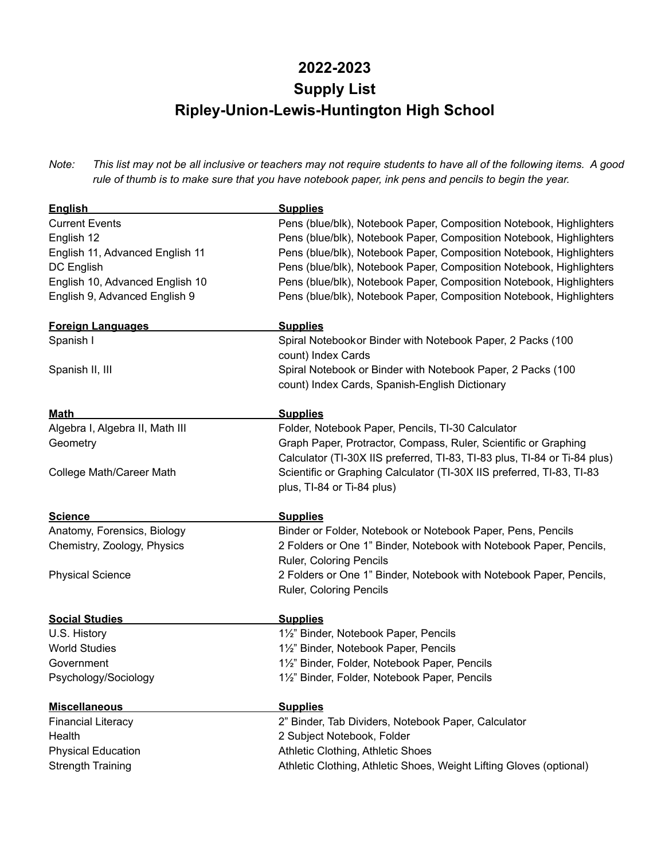## **2022-2023 Supply List Ripley-Union-Lewis-Huntington High School**

Note: This list may not be all inclusive or teachers may not require students to have all of the following items. A good rule of thumb is to make sure that you have notebook paper, ink pens and pencils to begin the year.

| <b>English</b>                  | <b>Supplies</b>                                                           |
|---------------------------------|---------------------------------------------------------------------------|
| <b>Current Events</b>           | Pens (blue/blk), Notebook Paper, Composition Notebook, Highlighters       |
| English 12                      | Pens (blue/blk), Notebook Paper, Composition Notebook, Highlighters       |
| English 11, Advanced English 11 | Pens (blue/blk), Notebook Paper, Composition Notebook, Highlighters       |
| DC English                      | Pens (blue/blk), Notebook Paper, Composition Notebook, Highlighters       |
| English 10, Advanced English 10 | Pens (blue/blk), Notebook Paper, Composition Notebook, Highlighters       |
| English 9, Advanced English 9   | Pens (blue/blk), Notebook Paper, Composition Notebook, Highlighters       |
| <b>Foreign Languages</b>        | <b>Supplies</b>                                                           |
| Spanish I                       | Spiral Notebook or Binder with Notebook Paper, 2 Packs (100               |
|                                 | count) Index Cards                                                        |
| Spanish II, III                 | Spiral Notebook or Binder with Notebook Paper, 2 Packs (100               |
|                                 | count) Index Cards, Spanish-English Dictionary                            |
| <b>Math</b>                     | <b>Supplies</b>                                                           |
| Algebra I, Algebra II, Math III | Folder, Notebook Paper, Pencils, TI-30 Calculator                         |
| Geometry                        | Graph Paper, Protractor, Compass, Ruler, Scientific or Graphing           |
|                                 | Calculator (TI-30X IIS preferred, TI-83, TI-83 plus, TI-84 or Ti-84 plus) |
| College Math/Career Math        | Scientific or Graphing Calculator (TI-30X IIS preferred, TI-83, TI-83     |
|                                 | plus, TI-84 or Ti-84 plus)                                                |
| <b>Science</b>                  | <b>Supplies</b>                                                           |
| Anatomy, Forensics, Biology     | Binder or Folder, Notebook or Notebook Paper, Pens, Pencils               |
| Chemistry, Zoology, Physics     | 2 Folders or One 1" Binder, Notebook with Notebook Paper, Pencils,        |
|                                 | Ruler, Coloring Pencils                                                   |
| <b>Physical Science</b>         | 2 Folders or One 1" Binder, Notebook with Notebook Paper, Pencils,        |
|                                 | Ruler, Coloring Pencils                                                   |
| <b>Social Studies</b>           | <b>Supplies</b>                                                           |
| U.S. History                    | 1½" Binder, Notebook Paper, Pencils                                       |
| <b>World Studies</b>            | 11/2" Binder, Notebook Paper, Pencils                                     |
| Government                      | 11/2" Binder, Folder, Notebook Paper, Pencils                             |
| Psychology/Sociology            | 1½" Binder, Folder, Notebook Paper, Pencils                               |
| <b>Miscellaneous</b>            | <b>Supplies</b>                                                           |
| <b>Financial Literacy</b>       | 2" Binder, Tab Dividers, Notebook Paper, Calculator                       |
| Health                          | 2 Subject Notebook, Folder                                                |
| <b>Physical Education</b>       | Athletic Clothing, Athletic Shoes                                         |
| <b>Strength Training</b>        | Athletic Clothing, Athletic Shoes, Weight Lifting Gloves (optional)       |